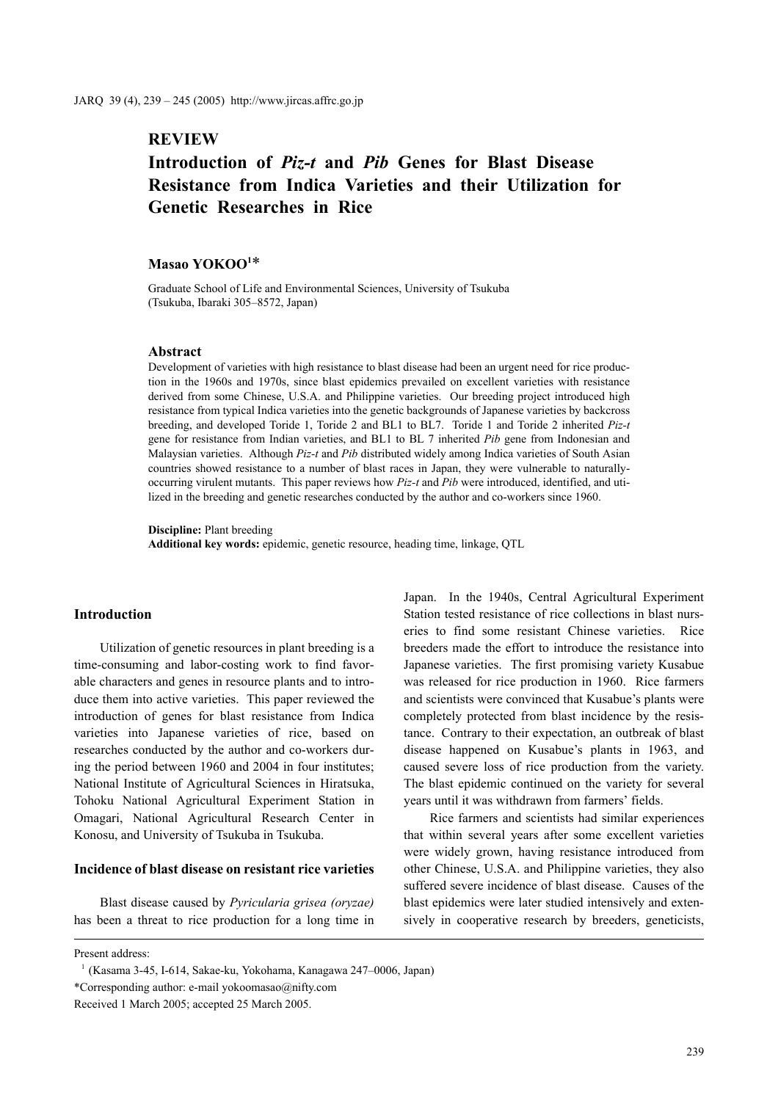# **REVIEW**

# **Introduction of** *Piz-t* **and** *Pib* **Genes for Blast Disease Resistance from Indica Varieties and their Utilization for Genetic Researches in Rice**

## **Masao YOKOO1** \*

Graduate School of Life and Environmental Sciences, University of Tsukuba (Tsukuba, Ibaraki 305–8572, Japan)

#### **Abstract**

Development of varieties with high resistance to blast disease had been an urgent need for rice production in the 1960s and 1970s, since blast epidemics prevailed on excellent varieties with resistance derived from some Chinese, U.S.A. and Philippine varieties. Our breeding project introduced high resistance from typical Indica varieties into the genetic backgrounds of Japanese varieties by backcross breeding, and developed Toride 1, Toride 2 and BL1 to BL7. Toride 1 and Toride 2 inherited *Piz-t* gene for resistance from Indian varieties, and BL1 to BL 7 inherited *Pib* gene from Indonesian and Malaysian varieties. Although *Piz-t* and *Pib* distributed widely among Indica varieties of South Asian countries showed resistance to a number of blast races in Japan, they were vulnerable to naturallyoccurring virulent mutants. This paper reviews how *Piz-t* and *Pib* were introduced, identified, and utilized in the breeding and genetic researches conducted by the author and co-workers since 1960.

**Discipline:** Plant breeding

**Additional key words:** epidemic, genetic resource, heading time, linkage, QTL

### **Introduction**

Utilization of genetic resources in plant breeding is a time-consuming and labor-costing work to find favorable characters and genes in resource plants and to introduce them into active varieties. This paper reviewed the introduction of genes for blast resistance from Indica varieties into Japanese varieties of rice, based on researches conducted by the author and co-workers during the period between 1960 and 2004 in four institutes; National Institute of Agricultural Sciences in Hiratsuka, Tohoku National Agricultural Experiment Station in Omagari, National Agricultural Research Center in Konosu, and University of Tsukuba in Tsukuba.

## **Incidence of blast disease on resistant rice varieties**

Blast disease caused by *Pyricularia grisea (oryzae)* has been a threat to rice production for a long time in Japan. In the 1940s, Central Agricultural Experiment Station tested resistance of rice collections in blast nurseries to find some resistant Chinese varieties. Rice breeders made the effort to introduce the resistance into Japanese varieties. The first promising variety Kusabue was released for rice production in 1960. Rice farmers and scientists were convinced that Kusabue's plants were completely protected from blast incidence by the resistance. Contrary to their expectation, an outbreak of blast disease happened on Kusabue's plants in 1963, and caused severe loss of rice production from the variety. The blast epidemic continued on the variety for several years until it was withdrawn from farmers' fields.

Rice farmers and scientists had similar experiences that within several years after some excellent varieties were widely grown, having resistance introduced from other Chinese, U.S.A. and Philippine varieties, they also suffered severe incidence of blast disease. Causes of the blast epidemics were later studied intensively and extensively in cooperative research by breeders, geneticists,

Present address:

<sup>1</sup> (Kasama 3-45, I-614, Sakae-ku, Yokohama, Kanagawa 247–0006, Japan) \*Corresponding author: e-mail yokoomasao@nifty.com Received 1 March 2005; accepted 25 March 2005.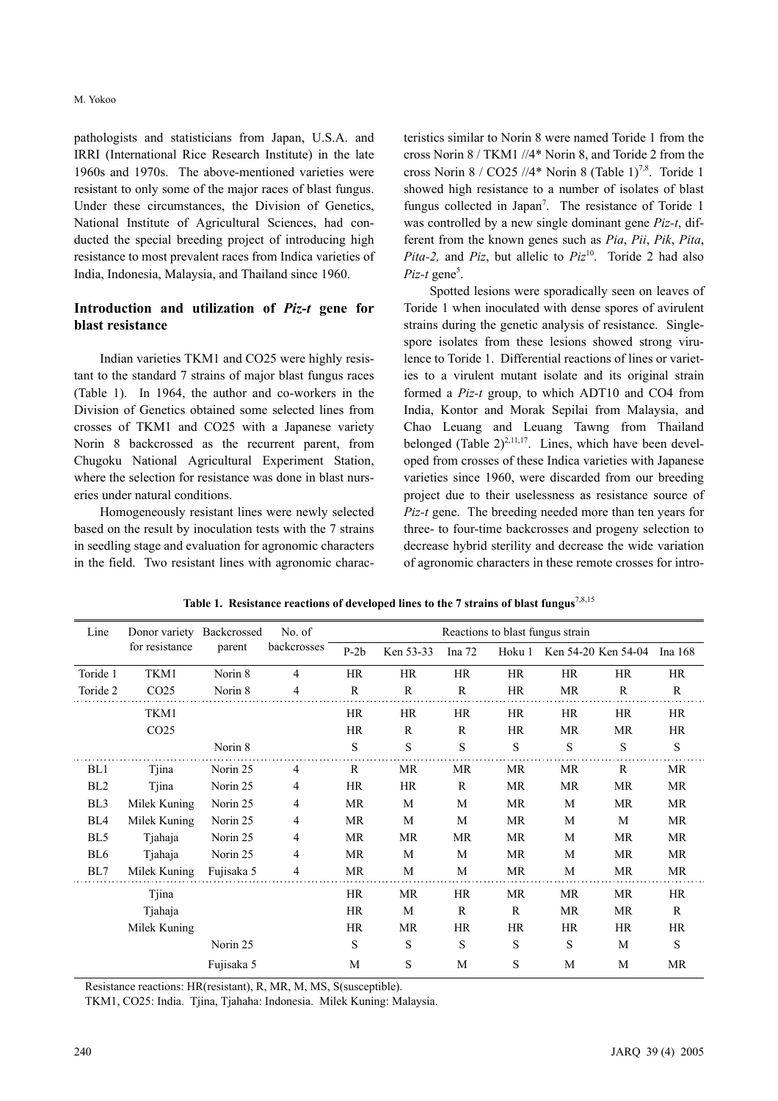pathologists and statisticians from Japan, U.S.A. and IRRI (International Rice Research Institute) in the late 1960s and 1970s. The above-mentioned varieties were resistant to only some of the major races of blast fungus. Under these circumstances, the Division of Genetics, National Institute of Agricultural Sciences, had conducted the special breeding project of introducing high resistance to most prevalent races from Indica varieties of India, Indonesia, Malaysia, and Thailand since 1960.

## **Introduction and utilization of** *Piz-t* **gene for blast resistance**

Indian varieties TKM1 and CO25 were highly resistant to the standard 7 strains of major blast fungus races (Table 1). In 1964, the author and co-workers in the Division of Genetics obtained some selected lines from crosses of TKM1 and CO25 with a Japanese variety Norin 8 backcrossed as the recurrent parent, from Chugoku National Agricultural Experiment Station, where the selection for resistance was done in blast nurseries under natural conditions.

Homogeneously resistant lines were newly selected based on the result by inoculation tests with the 7 strains in seedling stage and evaluation for agronomic characters in the field. Two resistant lines with agronomic characteristics similar to Norin 8 were named Toride 1 from the cross Norin 8 / TKM1 //4\* Norin 8, and Toride 2 from the cross Norin 8 / CO25 //4\* Norin 8 (Table 1)<sup>7,8</sup>. Toride 1 showed high resistance to a number of isolates of blast fungus collected in Japan<sup>7</sup>. The resistance of Toride 1 was controlled by a new single dominant gene *Piz-t*, different from the known genes such as *Pia*, *Pii*, *Pik*, *Pita*, *Pita-2,* and *Piz*, but allelic to *Piz*<sup>10</sup>. Toride 2 had also  $Piz-t$  gene<sup>5</sup>.

Spotted lesions were sporadically seen on leaves of Toride 1 when inoculated with dense spores of avirulent strains during the genetic analysis of resistance. Singlespore isolates from these lesions showed strong virulence to Toride 1. Differential reactions of lines or varieties to a virulent mutant isolate and its original strain formed a *Piz-t* group, to which ADT10 and CO4 from India, Kontor and Morak Sepilai from Malaysia, and Chao Leuang and Leuang Tawng from Thailand belonged (Table  $2)^{2,11,17}$ . Lines, which have been developed from crosses of these Indica varieties with Japanese varieties since 1960, were discarded from our breeding project due to their uselessness as resistance source of *Piz-t* gene. The breeding needed more than ten years for three- to four-time backcrosses and progeny selection to decrease hybrid sterility and decrease the wide variation of agronomic characters in these remote crosses for intro-

| Line            |                  | Donor variety Backcrossed | No. of      | Reactions to blast fungus strain |              |              |           |                     |              |           |  |
|-----------------|------------------|---------------------------|-------------|----------------------------------|--------------|--------------|-----------|---------------------|--------------|-----------|--|
|                 | for resistance   | parent                    | backcrosses | $P-2b$                           | Ken 53-33    | Ina $72$     | Hoku 1    | Ken 54-20 Ken 54-04 |              | Ina 168   |  |
| Toride 1        | TKM1             | Norin 8                   | 4           | <b>HR</b>                        | HR           | <b>HR</b>    | HR        | HR                  | HR           | HR        |  |
| Toride 2        | CO <sub>25</sub> | Norin 8                   | 4           | $\mathbb{R}$                     | $\mathbb{R}$ | R            | <b>HR</b> | MR                  | R            | R         |  |
|                 | TKM1             |                           |             | <b>HR</b>                        | HR           | <b>HR</b>    | <b>HR</b> | HR                  | <b>HR</b>    | HR        |  |
|                 | CO <sub>25</sub> |                           |             | HR                               | $\mathbb{R}$ | $\mathbf R$  | <b>HR</b> | MR.                 | <b>MR</b>    | HR        |  |
|                 |                  | Norin 8                   |             | S                                | S            | S            | S         | S                   | S            | ${\bf S}$ |  |
| BL1             | Tjina            | Norin 25                  | 4           | R                                | MR           | <b>MR</b>    | <b>MR</b> | MR                  | $\mathbb{R}$ | <b>MR</b> |  |
| BL <sub>2</sub> | Tjina            | Norin 25                  | 4           | <b>HR</b>                        | HR           | R            | MR.       | MR                  | MR           | <b>MR</b> |  |
| BL <sub>3</sub> | Milek Kuning     | Norin 25                  | 4           | MR                               | M            | M            | MR        | M                   | <b>MR</b>    | <b>MR</b> |  |
| BL4             | Milek Kuning     | Norin 25                  | 4           | MR                               | M            | M            | <b>MR</b> | M                   | M            | <b>MR</b> |  |
| BL5             | Tjahaja          | Norin 25                  | 4           | <b>MR</b>                        | MR           | MR           | <b>MR</b> | M                   | <b>MR</b>    | MR        |  |
| BL6             | Tjahaja          | Norin 25                  | 4           | <b>MR</b>                        | M            | M            | MR        | M                   | MR           | MR        |  |
| BL7             | Milek Kuning     | Fujisaka 5                | 4           | <b>MR</b>                        | M            | M            | MR        | M                   | MR           | MR        |  |
|                 | Tjina            |                           |             | HR                               | MR           | HR           | <b>MR</b> | MR.                 | <b>MR</b>    | HR        |  |
|                 | Tjahaja          |                           |             | HR                               | M            | $\mathbb{R}$ | R         | MR.                 | <b>MR</b>    | R         |  |
|                 | Milek Kuning     |                           |             | HR                               | MR           | <b>HR</b>    | <b>HR</b> | HR                  | HR           | <b>HR</b> |  |
|                 |                  | Norin 25                  |             | S                                | S            | S            | ${\bf S}$ | S                   | M            | ${\bf S}$ |  |
|                 |                  | Fujisaka 5                |             | M                                | S            | M            | S         | M                   | M            | MR        |  |

**Table 1. Resistance reactions of developed lines to the 7 strains of blast fungus**7,8,15

Resistance reactions: HR(resistant), R, MR, M, MS, S(susceptible).

TKM1, CO25: India. Tjina, Tjahaha: Indonesia. Milek Kuning: Malaysia.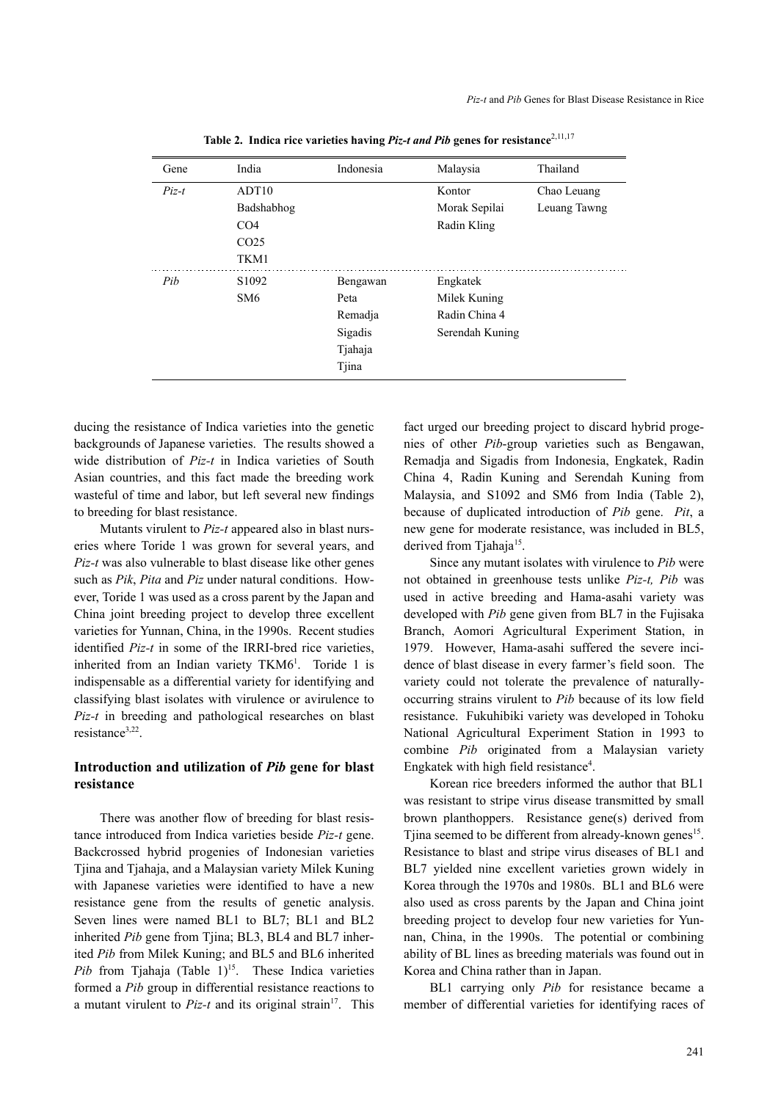| Gene    | India             | Indonesia | Malaysia        | Thailand     |
|---------|-------------------|-----------|-----------------|--------------|
| $Piz-t$ | ADT <sub>10</sub> |           | Kontor          | Chao Leuang  |
|         | Badshabhog        |           | Morak Sepilai   | Leuang Tawng |
|         | CO <sub>4</sub>   |           | Radin Kling     |              |
|         | CO <sub>25</sub>  |           |                 |              |
|         | TKM1              |           |                 |              |
| Pib     | S <sub>1092</sub> | Bengawan  | Engkatek        |              |
|         | SM <sub>6</sub>   | Peta      | Milek Kuning    |              |
|         |                   | Remadja   | Radin China 4   |              |
|         |                   | Sigadis   | Serendah Kuning |              |
|         |                   | Tjahaja   |                 |              |
|         |                   | Tjina     |                 |              |

Table 2. Indica rice varieties having *Piz-t and Pib* genes for resistance<sup>2,11,17</sup>

ducing the resistance of Indica varieties into the genetic backgrounds of Japanese varieties. The results showed a wide distribution of *Piz-t* in Indica varieties of South Asian countries, and this fact made the breeding work wasteful of time and labor, but left several new findings to breeding for blast resistance.

Mutants virulent to *Piz-t* appeared also in blast nurseries where Toride 1 was grown for several years, and *Piz-t* was also vulnerable to blast disease like other genes such as *Pik*, *Pita* and *Piz* under natural conditions. However, Toride 1 was used as a cross parent by the Japan and China joint breeding project to develop three excellent varieties for Yunnan, China, in the 1990s. Recent studies identified *Piz-t* in some of the IRRI-bred rice varieties, inherited from an Indian variety TKM6<sup>1</sup>. Toride 1 is indispensable as a differential variety for identifying and classifying blast isolates with virulence or avirulence to *Piz-t* in breeding and pathological researches on blast resistance<sup>3,22</sup>.

## **Introduction and utilization of** *Pib* **gene for blast resistance**

There was another flow of breeding for blast resistance introduced from Indica varieties beside *Piz-t* gene. Backcrossed hybrid progenies of Indonesian varieties Tjina and Tjahaja, and a Malaysian variety Milek Kuning with Japanese varieties were identified to have a new resistance gene from the results of genetic analysis. Seven lines were named BL1 to BL7; BL1 and BL2 inherited *Pib* gene from Tjina; BL3, BL4 and BL7 inherited *Pib* from Milek Kuning; and BL5 and BL6 inherited Pib from Tjahaja (Table 1)<sup>15</sup>. These Indica varieties formed a *Pib* group in differential resistance reactions to a mutant virulent to  $Piz-t$  and its original strain<sup>17</sup>. This fact urged our breeding project to discard hybrid progenies of other *Pib*-group varieties such as Bengawan, Remadja and Sigadis from Indonesia, Engkatek, Radin China 4, Radin Kuning and Serendah Kuning from Malaysia, and S1092 and SM6 from India (Table 2), because of duplicated introduction of *Pib* gene. *Pit*, a new gene for moderate resistance, was included in BL5, derived from Tjahaja<sup>15</sup>.

Since any mutant isolates with virulence to *Pib* were not obtained in greenhouse tests unlike *Piz-t, Pib* was used in active breeding and Hama-asahi variety was developed with *Pib* gene given from BL7 in the Fujisaka Branch, Aomori Agricultural Experiment Station, in 1979. However, Hama-asahi suffered the severe incidence of blast disease in every farmer's field soon. The variety could not tolerate the prevalence of naturallyoccurring strains virulent to *Pib* because of its low field resistance. Fukuhibiki variety was developed in Tohoku National Agricultural Experiment Station in 1993 to combine *Pib* originated from a Malaysian variety Engkatek with high field resistance<sup>4</sup>.

Korean rice breeders informed the author that BL1 was resistant to stripe virus disease transmitted by small brown planthoppers. Resistance gene(s) derived from Tjina seemed to be different from already-known genes<sup>15</sup>. Resistance to blast and stripe virus diseases of BL1 and BL7 yielded nine excellent varieties grown widely in Korea through the 1970s and 1980s. BL1 and BL6 were also used as cross parents by the Japan and China joint breeding project to develop four new varieties for Yunnan, China, in the 1990s. The potential or combining ability of BL lines as breeding materials was found out in Korea and China rather than in Japan.

BL1 carrying only *Pib* for resistance became a member of differential varieties for identifying races of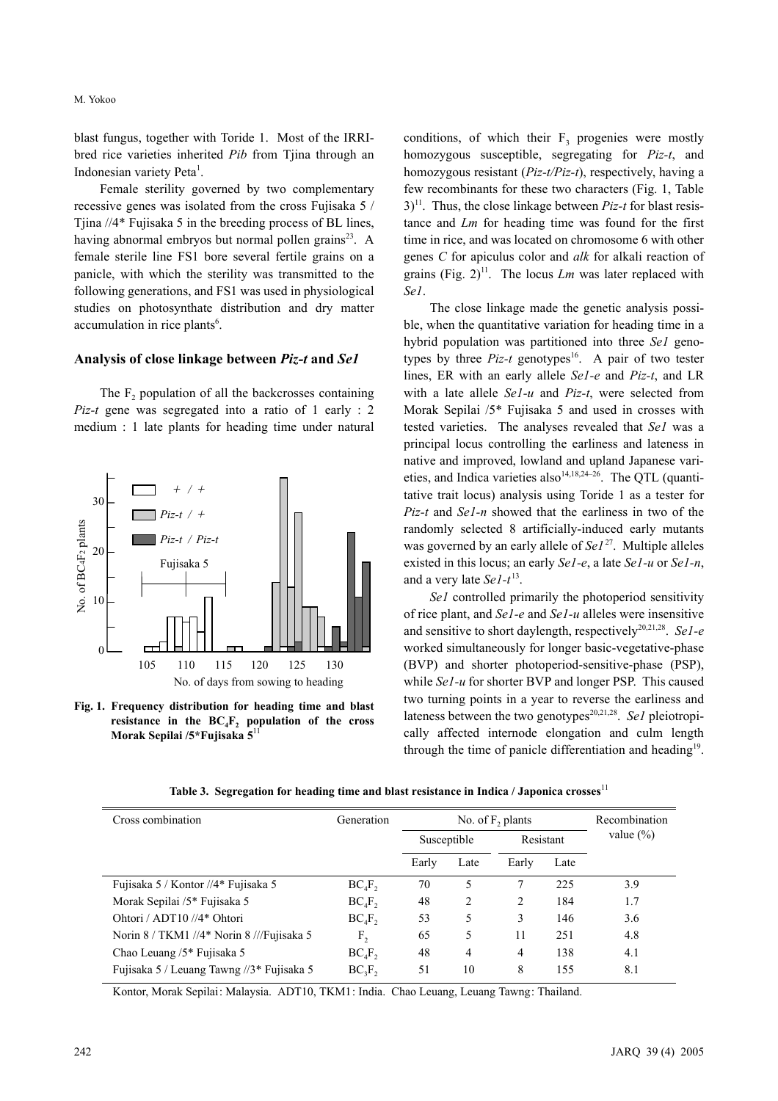blast fungus, together with Toride 1. Most of the IRRIbred rice varieties inherited *Pib* from Tiina through an Indonesian variety Peta<sup>1</sup>.

Female sterility governed by two complementary recessive genes was isolated from the cross Fujisaka 5 / Tjina //4\* Fujisaka 5 in the breeding process of BL lines, having abnormal embryos but normal pollen grains<sup>23</sup>. A female sterile line FS1 bore several fertile grains on a panicle, with which the sterility was transmitted to the following generations, and FS1 was used in physiological studies on photosynthate distribution and dry matter accumulation in rice plants<sup>6</sup>.

#### **Analysis of close linkage between** *Piz-t* **and** *Se1*

The  $F<sub>2</sub>$  population of all the backcrosses containing *Piz-t* gene was segregated into a ratio of 1 early : 2 medium : 1 late plants for heading time under natural



**Fig. 1. Frequency distribution for heading time and blast** resistance in the  $BC_4F_2$  population of the cross **Morak Sepilai /5\*Fujisaka 5**<sup>11</sup>

conditions, of which their  $F_3$  progenies were mostly homozygous susceptible, segregating for *Piz-t*, and homozygous resistant (*Piz-t/Piz-t*), respectively, having a few recombinants for these two characters (Fig. 1, Table  $3$ <sup>11</sup>. Thus, the close linkage between *Piz-t* for blast resistance and *Lm* for heading time was found for the first time in rice, and was located on chromosome 6 with other genes *C* for apiculus color and *alk* for alkali reaction of grains (Fig.  $2$ )<sup>11</sup>. The locus *Lm* was later replaced with *Se1*.

The close linkage made the genetic analysis possible, when the quantitative variation for heading time in a hybrid population was partitioned into three *Se1* genotypes by three  $Piz-t$  genotypes<sup>16</sup>. A pair of two tester lines, ER with an early allele *Se1-e* and *Piz-t*, and LR with a late allele *Se1-u* and *Piz-t*, were selected from Morak Sepilai /5\* Fujisaka 5 and used in crosses with tested varieties. The analyses revealed that *Se1* was a principal locus controlling the earliness and lateness in native and improved, lowland and upland Japanese varieties, and Indica varieties also<sup>14,18,24–26</sup>. The QTL (quantitative trait locus) analysis using Toride 1 as a tester for *Piz-t* and *Se1-n* showed that the earliness in two of the randomly selected 8 artificially-induced early mutants was governed by an early allele of *Se1*27. Multiple alleles existed in this locus; an early *Se1-e*, a late *Se1-u* or *Se1-n*, and a very late *Se1-t* 13.

*Se1* controlled primarily the photoperiod sensitivity of rice plant, and *Se1-e* and *Se1-u* alleles were insensitive and sensitive to short daylength, respectively<sup>20,21,28</sup>. *Sel-e* worked simultaneously for longer basic-vegetative-phase (BVP) and shorter photoperiod-sensitive-phase (PSP), while *Se1-u* for shorter BVP and longer PSP. This caused two turning points in a year to reverse the earliness and lateness between the two genotypes<sup>20,21,28</sup>. *Sel* pleiotropically affected internode elongation and culm length through the time of panicle differentiation and heading $19$ .

| Cross combination                         | Generation | No. of $F_2$ plants |                |                |      | Recombination<br>value $(\% )$ |  |
|-------------------------------------------|------------|---------------------|----------------|----------------|------|--------------------------------|--|
|                                           |            | Susceptible         |                | Resistant      |      |                                |  |
|                                           |            | Early               | Late           | Early          | Late |                                |  |
| Fujisaka 5 / Kontor //4* Fujisaka 5       | $BC_4F_2$  | 70                  | 5              | 7              | 225  | 3.9                            |  |
| Morak Sepilai /5* Fujisaka 5              | $BC_4F_2$  | 48                  | $\overline{c}$ | 2              | 184  | 1.7                            |  |
| Ohtori / ADT10 //4* Ohtori                | $BC_4F_2$  | 53                  | 5              | 3              | 146  | 3.6                            |  |
| Norin 8 / TKM1 //4* Norin 8 ///Fujisaka 5 | $F_{2}$    | 65                  | 5              | 11             | 251  | 4.8                            |  |
| Chao Leuang /5* Fujisaka 5                | $BC_4F_2$  | 48                  | 4              | $\overline{4}$ | 138  | 4.1                            |  |
| Fujisaka 5 / Leuang Tawng //3* Fujisaka 5 | $BC_3F_2$  | 51                  | 10             | 8              | 155  | 8.1                            |  |

**Table 3. Segregation for heading time and blast resistance in Indica / Japonica crosses**<sup>11</sup>

Kontor, Morak Sepilai: Malaysia. ADT10, TKM1: India. Chao Leuang, Leuang Tawng: Thailand.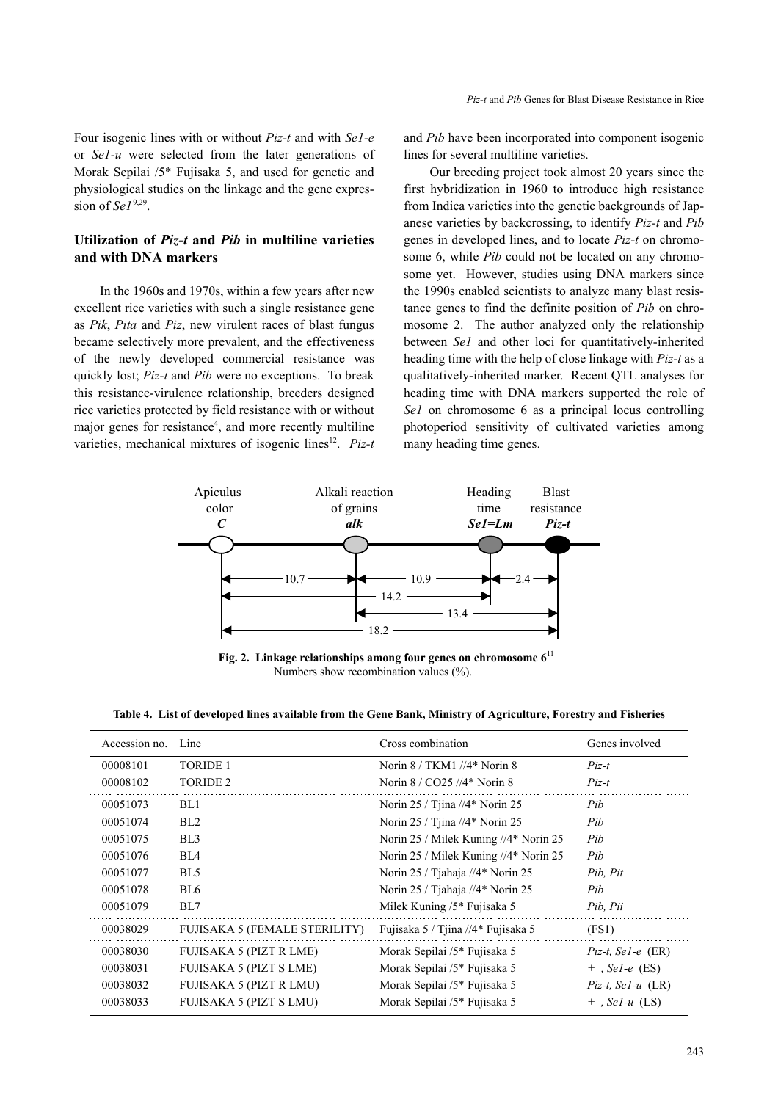Four isogenic lines with or without *Piz-t* and with *Se1-e* or *Se1-u* were selected from the later generations of Morak Sepilai /5\* Fujisaka 5, and used for genetic and physiological studies on the linkage and the gene expression of  $\mathcal{S}eI^{9,29}$ .

# **Utilization of** *Piz-t* **and** *Pib* **in multiline varieties and with DNA markers**

In the 1960s and 1970s, within a few years after new excellent rice varieties with such a single resistance gene as *Pik*, *Pita* and *Piz*, new virulent races of blast fungus became selectively more prevalent, and the effectiveness of the newly developed commercial resistance was quickly lost; *Piz-t* and *Pib* were no exceptions. To break this resistance-virulence relationship, breeders designed rice varieties protected by field resistance with or without major genes for resistance<sup>4</sup>, and more recently multiline varieties, mechanical mixtures of isogenic lines<sup>12</sup>. *Piz-t*  and *Pib* have been incorporated into component isogenic lines for several multiline varieties.

Our breeding project took almost 20 years since the first hybridization in 1960 to introduce high resistance from Indica varieties into the genetic backgrounds of Japanese varieties by backcrossing, to identify *Piz-t* and *Pib* genes in developed lines, and to locate *Piz-t* on chromosome 6, while *Pib* could not be located on any chromosome yet. However, studies using DNA markers since the 1990s enabled scientists to analyze many blast resistance genes to find the definite position of *Pib* on chromosome 2. The author analyzed only the relationship between *Se1* and other loci for quantitatively-inherited heading time with the help of close linkage with *Piz-t* as a qualitatively-inherited marker. Recent QTL analyses for heading time with DNA markers supported the role of *Se1* on chromosome 6 as a principal locus controlling photoperiod sensitivity of cultivated varieties among many heading time genes.



**Fig. 2. Linkage relationships among four genes on chromosome 6**<sup>11</sup> Numbers show recombination values  $(\%).$ 

| Table 4. List of developed lines available from the Gene Bank, Ministry of Agriculture, Forestry and Fisheries |  |  |  |  |
|----------------------------------------------------------------------------------------------------------------|--|--|--|--|
|                                                                                                                |  |  |  |  |

| Accession no. | Line                                 | Cross combination                     | Genes involved       |
|---------------|--------------------------------------|---------------------------------------|----------------------|
| 00008101      | <b>TORIDE 1</b>                      | Norin 8 / TKM1 //4* Norin 8           | $Piz-t$              |
| 00008102      | <b>TORIDE 2</b>                      | Norin $8 / CO25$ //4* Norin 8         | $Piz-t$              |
| 00051073      | BL1                                  | Norin 25 / Tjina //4* Norin 25        | Pib                  |
| 00051074      | BL <sub>2</sub>                      | Norin $25 /$ Tiina //4* Norin 25      | Pib                  |
| 00051075      | BL <sub>3</sub>                      | Norin 25 / Milek Kuning //4* Norin 25 | Pib                  |
| 00051076      | BL4                                  | Norin 25 / Milek Kuning //4* Norin 25 | Pib                  |
| 00051077      | BL <sub>5</sub>                      | Norin 25 / Tjahaja //4* Norin 25      | Pib, Pit             |
| 00051078      | BL6                                  | Norin 25 / Tjahaja //4* Norin 25      | Pib                  |
| 00051079      | BL7                                  | Milek Kuning /5* Fujisaka 5           | Pib, Pii             |
| 00038029      | <b>FUJISAKA 5 (FEMALE STERILITY)</b> | Fujisaka 5 / Tjina //4* Fujisaka 5    | (FS1)                |
| 00038030      | <b>FUJISAKA 5 (PIZT R LME)</b>       | Morak Sepilai /5* Fujisaka 5          | $Piz-t$ , Sel-e (ER) |
| 00038031      | <b>FUJISAKA 5 (PIZT S LME)</b>       | Morak Sepilai /5* Fujisaka 5          | $+$ , Sel-e (ES)     |
| 00038032      | FUJISAKA 5 (PIZT R LMU)              | Morak Sepilai /5* Fujisaka 5          | $Piz-t$ , Sel-u (LR) |
| 00038033      | FUJISAKA 5 (PIZT S LMU)              | Morak Sepilai /5* Fujisaka 5          | $+$ , Sel-u (LS)     |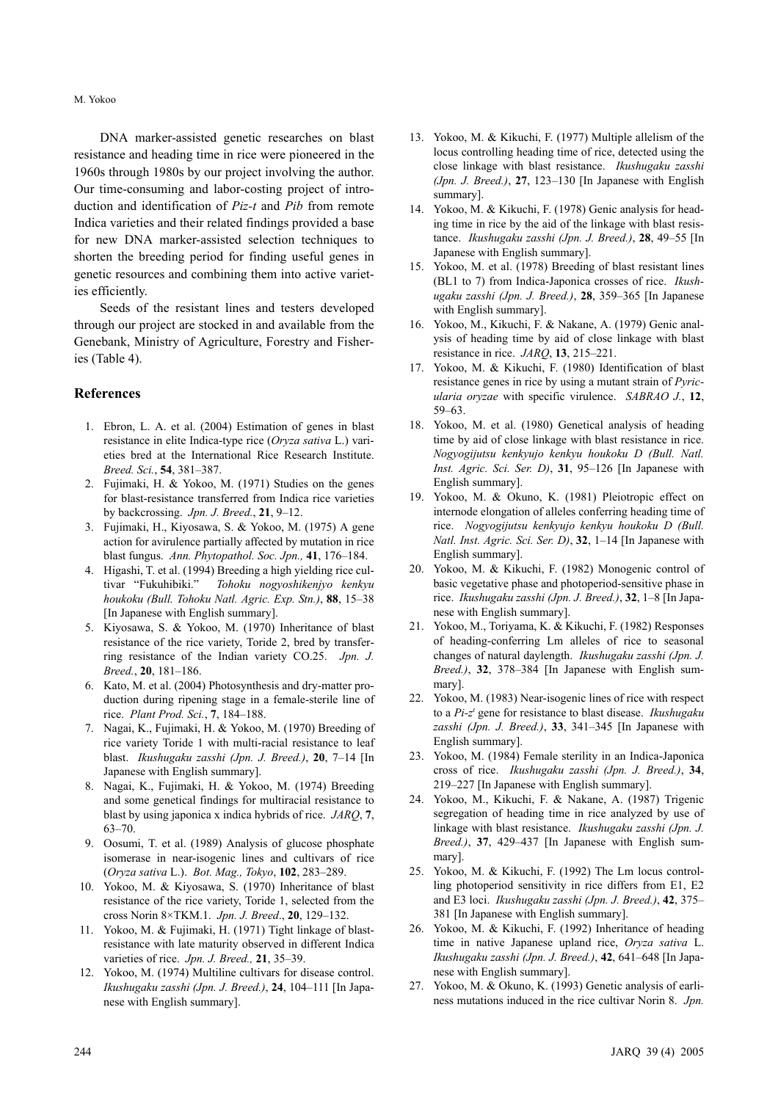DNA marker-assisted genetic researches on blast resistance and heading time in rice were pioneered in the 1960s through 1980s by our project involving the author. Our time-consuming and labor-costing project of introduction and identification of *Piz-t* and *Pib* from remote Indica varieties and their related findings provided a base for new DNA marker-assisted selection techniques to shorten the breeding period for finding useful genes in genetic resources and combining them into active varieties efficiently.

Seeds of the resistant lines and testers developed through our project are stocked in and available from the Genebank, Ministry of Agriculture, Forestry and Fisheries (Table 4).

## **References**

- 1. Ebron, L. A. et al. (2004) Estimation of genes in blast resistance in elite Indica-type rice (*Oryza sativa* L.) varieties bred at the International Rice Research Institute. *Breed. Sci.*, **54**, 381–387.
- 2. Fujimaki, H. & Yokoo, M. (1971) Studies on the genes for blast-resistance transferred from Indica rice varieties by backcrossing. *Jpn. J. Breed.*, **21**, 9–12.
- 3. Fujimaki, H., Kiyosawa, S. & Yokoo, M. (1975) A gene action for avirulence partially affected by mutation in rice blast fungus. *Ann. Phytopathol. Soc. Jpn.,* **41**, 176–184.
- 4. Higashi, T. et al. (1994) Breeding a high yielding rice cultivar "Fukuhibiki." *Tohoku nogyoshikenjyo kenkyu houkoku (Bull. Tohoku Natl. Agric. Exp. Stn.)*, **88**, 15–38 [In Japanese with English summary].
- 5. Kiyosawa, S. & Yokoo, M. (1970) Inheritance of blast resistance of the rice variety, Toride 2, bred by transferring resistance of the Indian variety CO.25. *Jpn. J. Breed.*, **20**, 181–186.
- 6. Kato, M. et al. (2004) Photosynthesis and dry-matter production during ripening stage in a female-sterile line of rice. *Plant Prod. Sci.*, **7**, 184–188.
- 7. Nagai, K., Fujimaki, H. & Yokoo, M. (1970) Breeding of rice variety Toride 1 with multi-racial resistance to leaf blast. *Ikushugaku zasshi (Jpn. J. Breed.)*, **20**, 7–14 [In Japanese with English summary].
- 8. Nagai, K., Fujimaki, H. & Yokoo, M. (1974) Breeding and some genetical findings for multiracial resistance to blast by using japonica x indica hybrids of rice. *JARQ*, **7**, 63–70.
- 9. Oosumi, T. et al. (1989) Analysis of glucose phosphate isomerase in near-isogenic lines and cultivars of rice (*Oryza sativa* L.). *Bot. Mag., Tokyo*, **102**, 283–289.
- 10. Yokoo, M. & Kiyosawa, S. (1970) Inheritance of blast resistance of the rice variety, Toride 1, selected from the cross Norin 8×TKM.1. *Jpn. J. Breed*., **20**, 129–132.
- 11. Yokoo, M. & Fujimaki, H. (1971) Tight linkage of blastresistance with late maturity observed in different Indica varieties of rice. *Jpn. J. Breed.,* **21**, 35–39.
- 12. Yokoo, M. (1974) Multiline cultivars for disease control. *Ikushugaku zasshi (Jpn. J. Breed.)*, **24**, 104–111 [In Japanese with English summary].
- 13. Yokoo, M. & Kikuchi, F. (1977) Multiple allelism of the locus controlling heading time of rice, detected using the close linkage with blast resistance. *Ikushugaku zasshi (Jpn. J. Breed.)*, **27**, 123–130 [In Japanese with English summary].
- 14. Yokoo, M. & Kikuchi, F. (1978) Genic analysis for heading time in rice by the aid of the linkage with blast resistance. *Ikushugaku zasshi (Jpn. J. Breed.)*, **28**, 49–55 [In Japanese with English summary].
- 15. Yokoo, M. et al. (1978) Breeding of blast resistant lines (BL1 to 7) from Indica-Japonica crosses of rice. *Ikushugaku zasshi (Jpn. J. Breed.)*, **28**, 359–365 [In Japanese with English summary].
- 16. Yokoo, M., Kikuchi, F. & Nakane, A. (1979) Genic analysis of heading time by aid of close linkage with blast resistance in rice. *JARQ*, **13**, 215–221.
- 17. Yokoo, M. & Kikuchi, F. (1980) Identification of blast resistance genes in rice by using a mutant strain of *Pyricularia oryzae* with specific virulence. *SABRAO J.*, **12**, 59–63.
- 18. Yokoo, M. et al. (1980) Genetical analysis of heading time by aid of close linkage with blast resistance in rice. *Nogyogijutsu kenkyujo kenkyu houkoku D (Bull. Natl. Inst. Agric. Sci. Ser. D)*, **31**, 95–126 [In Japanese with English summary].
- 19. Yokoo, M. & Okuno, K. (1981) Pleiotropic effect on internode elongation of alleles conferring heading time of rice. *Nogyogijutsu kenkyujo kenkyu houkoku D (Bull. Natl. Inst. Agric. Sci. Ser. D)*, **32**, 1–14 [In Japanese with English summary].
- 20. Yokoo, M. & Kikuchi, F. (1982) Monogenic control of basic vegetative phase and photoperiod-sensitive phase in rice. *Ikushugaku zasshi (Jpn. J. Breed.)*, **32**, 1–8 [In Japanese with English summary].
- 21. Yokoo, M., Toriyama, K. & Kikuchi, F. (1982) Responses of heading-conferring Lm alleles of rice to seasonal changes of natural daylength. *Ikushugaku zasshi (Jpn. J. Breed.)*, **32**, 378–384 [In Japanese with English summary].
- 22. Yokoo, M. (1983) Near-isogenic lines of rice with respect to a *Pi-zt* gene for resistance to blast disease. *Ikushugaku zasshi (Jpn. J. Breed.)*, **33**, 341–345 [In Japanese with English summary].
- 23. Yokoo, M. (1984) Female sterility in an Indica-Japonica cross of rice. *Ikushugaku zasshi (Jpn. J. Breed.)*, **34**, 219–227 [In Japanese with English summary].
- 24. Yokoo, M., Kikuchi, F. & Nakane, A. (1987) Trigenic segregation of heading time in rice analyzed by use of linkage with blast resistance. *Ikushugaku zasshi (Jpn. J. Breed.)*, **37**, 429–437 [In Japanese with English summary].
- 25. Yokoo, M. & Kikuchi, F. (1992) The Lm locus controlling photoperiod sensitivity in rice differs from E1, E2 and E3 loci. *Ikushugaku zasshi (Jpn. J. Breed.)*, **42**, 375– 381 [In Japanese with English summary].
- 26. Yokoo, M. & Kikuchi, F. (1992) Inheritance of heading time in native Japanese upland rice, *Oryza sativa* L. *Ikushugaku zasshi (Jpn. J. Breed.)*, **42**, 641–648 [In Japanese with English summary].
- 27. Yokoo, M. & Okuno, K. (1993) Genetic analysis of earliness mutations induced in the rice cultivar Norin 8. *Jpn.*